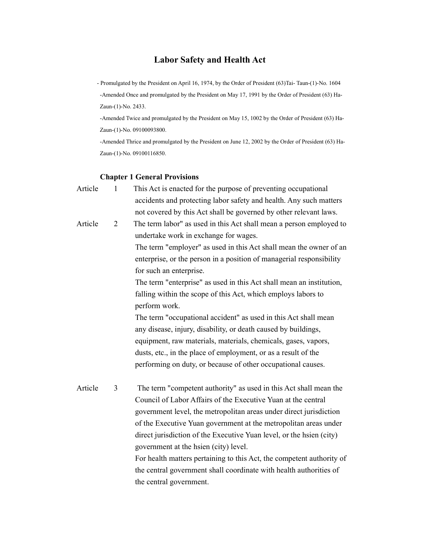# **Labor Safety and Health Act**

 - Promulgated by the President on April 16, 1974, by the Order of President (63)Tai- Taun-(1)-No. 1604 -Amended Once and promulgated by the President on May 17, 1991 by the Order of President (63) Ha-

Zaun-(1)-No. 2433.

-Amended Twice and promulgated by the President on May 15, 1002 by the Order of President (63) Ha-Zaun-(1)-No. 09100093800.

-Amended Thrice and promulgated by the President on June 12, 2002 by the Order of President (63) Ha-Zaun-(1)-No. 09100116850.

#### **Chapter 1 General Provisions**

- Article 1 This Act is enacted for the purpose of preventing occupational accidents and protecting labor safety and health. Any such matters not covered by this Act shall be governed by other relevant laws. Article 2 The term labor" as used in this Act shall mean a person employed to undertake work in exchange for wages. The term "employer" as used in this Act shall mean the owner of an enterprise, or the person in a position of managerial responsibility for such an enterprise. The term "enterprise" as used in this Act shall mean an institution, falling within the scope of this Act, which employs labors to perform work. The term "occupational accident" as used in this Act shall mean any disease, injury, disability, or death caused by buildings, equipment, raw materials, materials, chemicals, gases, vapors, dusts, etc., in the place of employment, or as a result of the performing on duty, or because of other occupational causes. Article 3 The term "competent authority" as used in this Act shall mean the
- Council of Labor Affairs of the Executive Yuan at the central government level, the metropolitan areas under direct jurisdiction of the Executive Yuan government at the metropolitan areas under direct jurisdiction of the Executive Yuan level, or the hsien (city) government at the hsien (city) level. For health matters pertaining to this Act, the competent authority of the central government shall coordinate with health authorities of the central government.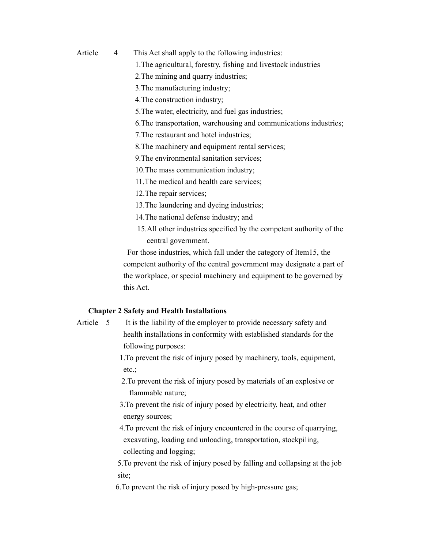- Article 4 This Act shall apply to the following industries:
	- 1.The agricultural, forestry, fishing and livestock industries
	- 2.The mining and quarry industries;
	- 3.The manufacturing industry;
	- 4.The construction industry;
	- 5.The water, electricity, and fuel gas industries;
	- 6.The transportation, warehousing and communications industries;
	- 7.The restaurant and hotel industries;
	- 8.The machinery and equipment rental services;
	- 9.The environmental sanitation services;
	- 10.The mass communication industry;
	- 11.The medical and health care services;
	- 12.The repair services;
	- 13.The laundering and dyeing industries;
	- 14.The national defense industry; and
	- 15.All other industries specified by the competent authority of the central government.

 For those industries, which fall under the category of Item15, the competent authority of the central government may designate a part of the workplace, or special machinery and equipment to be governed by this Act.

# **Chapter 2 Safety and Health Installations**

Article 5 It is the liability of the employer to provide necessary safety and health installations in conformity with established standards for the following purposes:

> 1.To prevent the risk of injury posed by machinery, tools, equipment, etc.;

> 2.To prevent the risk of injury posed by materials of an explosive or flammable nature;

- 3.To prevent the risk of injury posed by electricity, heat, and other energy sources;
- 4.To prevent the risk of injury encountered in the course of quarrying, excavating, loading and unloading, transportation, stockpiling, collecting and logging;

5.To prevent the risk of injury posed by falling and collapsing at the job site;

6.To prevent the risk of injury posed by high-pressure gas;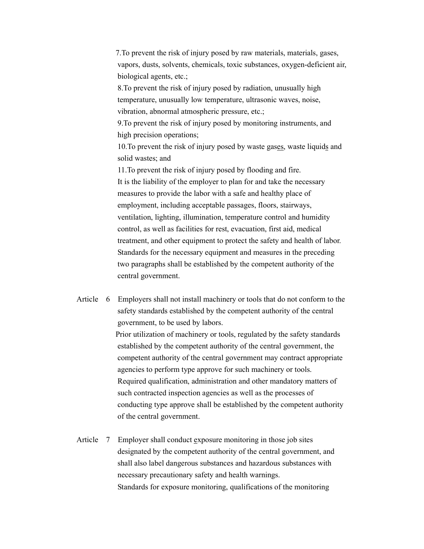7.To prevent the risk of injury posed by raw materials, materials, gases, vapors, dusts, solvents, chemicals, toxic substances, oxygen-deficient air, biological agents, etc.;

8.To prevent the risk of injury posed by radiation, unusually high temperature, unusually low temperature, ultrasonic waves, noise, vibration, abnormal atmospheric pressure, etc.;

9.To prevent the risk of injury posed by monitoring instruments, and high precision operations;

10.To prevent the risk of injury posed by waste gases, waste liquids and solid wastes; and

11.To prevent the risk of injury posed by flooding and fire. It is the liability of the employer to plan for and take the necessary measures to provide the labor with a safe and healthy place of employment, including acceptable passages, floors, stairways, ventilation, lighting, illumination, temperature control and humidity control, as well as facilities for rest, evacuation, first aid, medical treatment, and other equipment to protect the safety and health of labor. Standards for the necessary equipment and measures in the preceding two paragraphs shall be established by the competent authority of the central government.

Article 6 Employers shall not install machinery or tools that do not conform to the safety standards established by the competent authority of the central government, to be used by labors. Prior utilization of machinery or tools, regulated by the safety standards established by the competent authority of the central government, the competent authority of the central government may contract appropriate agencies to perform type approve for such machinery or tools. Required qualification, administration and other mandatory matters of such contracted inspection agencies as well as the processes of conducting type approve shall be established by the competent authority of the central government.

Article 7 Employer shall conduct exposure monitoring in those job sites designated by the competent authority of the central government, and shall also label dangerous substances and hazardous substances with necessary precautionary safety and health warnings. Standards for exposure monitoring, qualifications of the monitoring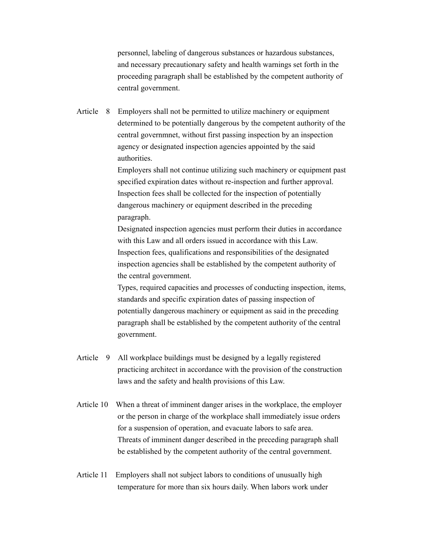personnel, labeling of dangerous substances or hazardous substances, and necessary precautionary safety and health warnings set forth in the proceeding paragraph shall be established by the competent authority of central government.

Article 8 Employers shall not be permitted to utilize machinery or equipment determined to be potentially dangerous by the competent authority of the central governmnet, without first passing inspection by an inspection agency or designated inspection agencies appointed by the said authorities.

> Employers shall not continue utilizing such machinery or equipment past specified expiration dates without re-inspection and further approval. Inspection fees shall be collected for the inspection of potentially dangerous machinery or equipment described in the preceding paragraph.

Designated inspection agencies must perform their duties in accordance with this Law and all orders issued in accordance with this Law. Inspection fees, qualifications and responsibilities of the designated inspection agencies shall be established by the competent authority of the central government.

Types, required capacities and processes of conducting inspection, items, standards and specific expiration dates of passing inspection of potentially dangerous machinery or equipment as said in the preceding paragraph shall be established by the competent authority of the central government.

- Article 9 All workplace buildings must be designed by a legally registered practicing architect in accordance with the provision of the construction laws and the safety and health provisions of this Law.
- Article 10 When a threat of imminent danger arises in the workplace, the employer or the person in charge of the workplace shall immediately issue orders for a suspension of operation, and evacuate labors to safe area. Threats of imminent danger described in the preceding paragraph shall be established by the competent authority of the central government.
- Article 11 Employers shall not subject labors to conditions of unusually high temperature for more than six hours daily. When labors work under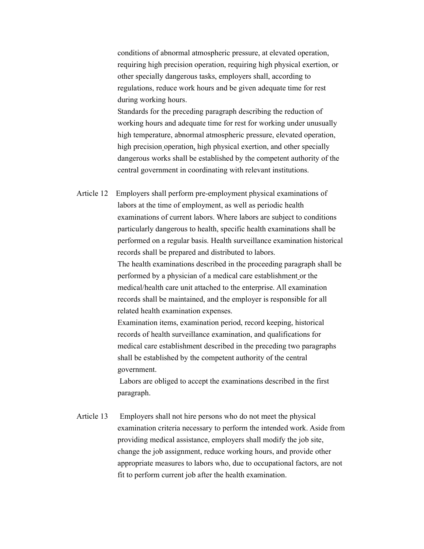conditions of abnormal atmospheric pressure, at elevated operation, requiring high precision operation, requiring high physical exertion, or other specially dangerous tasks, employers shall, according to regulations, reduce work hours and be given adequate time for rest during working hours.

Standards for the preceding paragraph describing the reduction of working hours and adequate time for rest for working under unusually high temperature, abnormal atmospheric pressure, elevated operation, high precision operation, high physical exertion, and other specially dangerous works shall be established by the competent authority of the central government in coordinating with relevant institutions.

Article 12 Employers shall perform pre-employment physical examinations of labors at the time of employment, as well as periodic health examinations of current labors. Where labors are subject to conditions particularly dangerous to health, specific health examinations shall be performed on a regular basis. Health surveillance examination historical records shall be prepared and distributed to labors. The health examinations described in the proceeding paragraph shall be performed by a physician of a medical care establishment or the medical/health care unit attached to the enterprise. All examination

records shall be maintained, and the employer is responsible for all related health examination expenses.

Examination items, examination period, record keeping, historical records of health surveillance examination, and qualifications for medical care establishment described in the preceding two paragraphs shall be established by the competent authority of the central government.

 Labors are obliged to accept the examinations described in the first paragraph.

Article 13 Employers shall not hire persons who do not meet the physical examination criteria necessary to perform the intended work. Aside from providing medical assistance, employers shall modify the job site, change the job assignment, reduce working hours, and provide other appropriate measures to labors who, due to occupational factors, are not fit to perform current job after the health examination.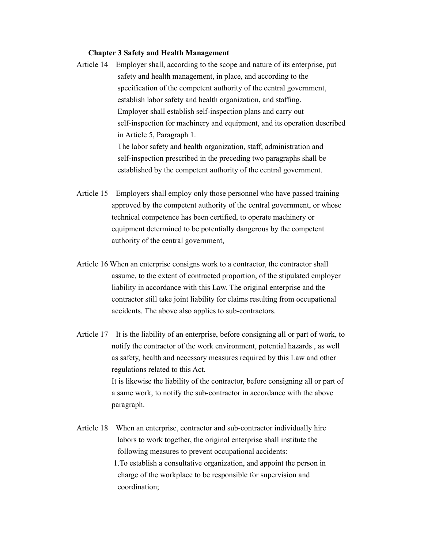### **Chapter 3 Safety and Health Management**

- Article 14 Employer shall, according to the scope and nature of its enterprise, put safety and health management, in place, and according to the specification of the competent authority of the central government, establish labor safety and health organization, and staffing. Employer shall establish self-inspection plans and carry out self-inspection for machinery and equipment, and its operation described in Article 5, Paragraph 1. The labor safety and health organization, staff, administration and self-inspection prescribed in the preceding two paragraphs shall be
- Article 15 Employers shall employ only those personnel who have passed training approved by the competent authority of the central government, or whose technical competence has been certified, to operate machinery or equipment determined to be potentially dangerous by the competent authority of the central government,

established by the competent authority of the central government.

- Article 16 When an enterprise consigns work to a contractor, the contractor shall assume, to the extent of contracted proportion, of the stipulated employer liability in accordance with this Law. The original enterprise and the contractor still take joint liability for claims resulting from occupational accidents. The above also applies to sub-contractors.
- Article 17 It is the liability of an enterprise, before consigning all or part of work, to notify the contractor of the work environment, potential hazards , as well as safety, health and necessary measures required by this Law and other regulations related to this Act. It is likewise the liability of the contractor, before consigning all or part of a same work, to notify the sub-contractor in accordance with the above paragraph.
- Article 18 When an enterprise, contractor and sub-contractor individually hire labors to work together, the original enterprise shall institute the following measures to prevent occupational accidents: 1.To establish a consultative organization, and appoint the person in charge of the workplace to be responsible for supervision and coordination;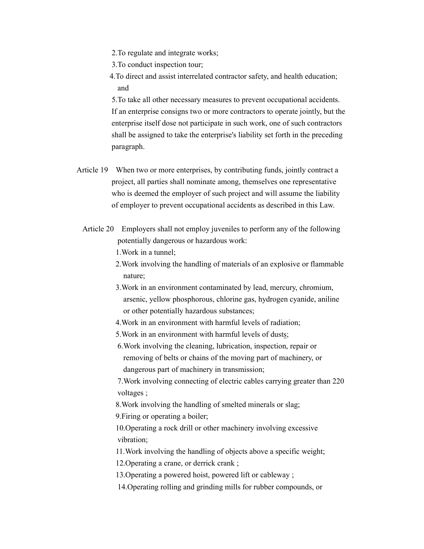- 2.To regulate and integrate works;
- 3.To conduct inspection tour;
- 4.To direct and assist interrelated contractor safety, and health education; and

 5.To take all other necessary measures to prevent occupational accidents. If an enterprise consigns two or more contractors to operate jointly, but the enterprise itself dose not participate in such work, one of such contractors shall be assigned to take the enterprise's liability set forth in the preceding paragraph.

- Article 19 When two or more enterprises, by contributing funds, jointly contract a project, all parties shall nominate among, themselves one representative who is deemed the employer of such project and will assume the liability of employer to prevent occupational accidents as described in this Law.
	- Article 20 Employers shall not employ juveniles to perform any of the following potentially dangerous or hazardous work:

1.Work in a tunnel;

- 2.Work involving the handling of materials of an explosive or flammable nature;
- 3.Work in an environment contaminated by lead, mercury, chromium, arsenic, yellow phosphorous, chlorine gas, hydrogen cyanide, aniline or other potentially hazardous substances;
- 4.Work in an environment with harmful levels of radiation;
- 5.Work in an environment with harmful levels of dusts;
- 6.Work involving the cleaning, lubrication, inspection, repair or removing of belts or chains of the moving part of machinery, or dangerous part of machinery in transmission;

7.Work involving connecting of electric cables carrying greater than 220 voltages ;

8.Work involving the handling of smelted minerals or slag;

9.Firing or operating a boiler;

 10.Operating a rock drill or other machinery involving excessive vibration;

 11.Work involving the handling of objects above a specific weight; 12.Operating a crane, or derrick crank ;

- 13.Operating a powered hoist, powered lift or cableway ;
- 14.Operating rolling and grinding mills for rubber compounds, or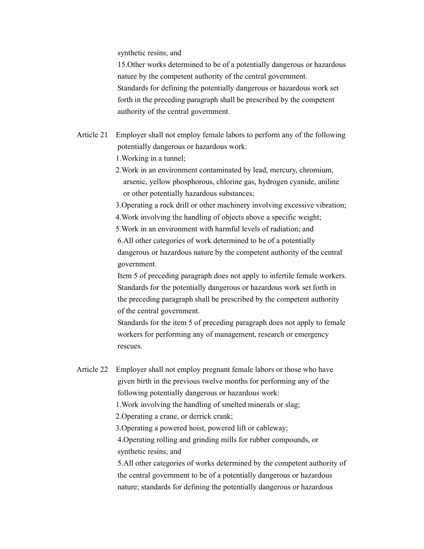synthetic resins; and

15.Other works determined to be of a potentially dangerous or hazardous nature by the competent authority of the central government. Standards for defining the potentially dangerous or hazardous work set forth in the preceding paragraph shall be prescribed by the competent authority of the central government.

- Article 21 Employer shall not employ female labors to perform any of the following potentially dangerous or hazardous work: 1.Working in a tunnel;
	- 2.Work in an environment contaminated by lead, mercury, chromium, arsenic, yellow phosphorous, chlorine gas, hydrogen cyanide, aniline or other potentially hazardous substances;
	- 3.Operating a rock drill or other machinery involving excessive vibration; 4.Work involving the handling of objects above a specific weight;
	- 5.Work in an environment with harmful levels of radiation; and
	- 6.All other categories of work determined to be of a potentially dangerous or hazardous nature by the competent authority of the central government.
	- Item 5 of preceding paragraph does not apply to infertile female workers. Standards for the potentially dangerous or hazardous work set forth in the preceding paragraph shall be prescribed by the competent authority of the central government.
	- Standards for the item 5 of preceding paragraph does not apply to female workers for performing any of management, research or emergency rescues.
- Article 22 Employer shall not employ pregnant female labors or those who have given birth in the previous twelve months for performing any of the following potentially dangerous or hazardous work:
	- 1.Work involving the handling of smelted minerals or slag;
	- 2.Operating a crane, or derrick crank;
	- 3.Operating a powered hoist, powered lift or cableway;
	- 4.Operating rolling and grinding mills for rubber compounds, or synthetic resins; and
	- 5.All other categories of works determined by the competent authority of the central government to be of a potentially dangerous or hazardous nature; standards for defining the potentially dangerous or hazardous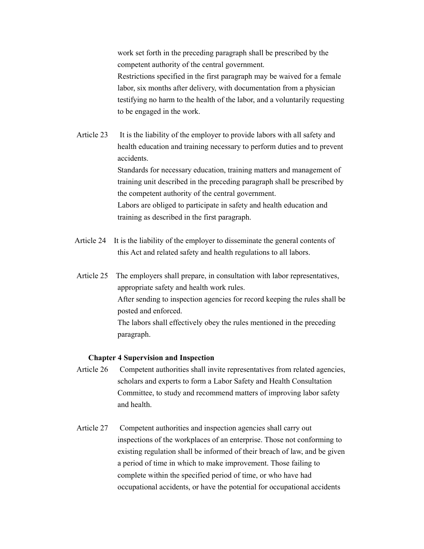work set forth in the preceding paragraph shall be prescribed by the competent authority of the central government.

Restrictions specified in the first paragraph may be waived for a female labor, six months after delivery, with documentation from a physician testifying no harm to the health of the labor, and a voluntarily requesting to be engaged in the work.

Article 23 It is the liability of the employer to provide labors with all safety and health education and training necessary to perform duties and to prevent accidents. Standards for necessary education, training matters and management of training unit described in the preceding paragraph shall be prescribed by the competent authority of the central government. Labors are obliged to participate in safety and health education and training as described in the first paragraph.

- Article 24 It is the liability of the employer to disseminate the general contents of this Act and related safety and health regulations to all labors.
- Article 25 The employers shall prepare, in consultation with labor representatives, appropriate safety and health work rules. After sending to inspection agencies for record keeping the rules shall be posted and enforced. The labors shall effectively obey the rules mentioned in the preceding paragraph.

### **Chapter 4 Supervision and Inspection**

- Article 26 Competent authorities shall invite representatives from related agencies, scholars and experts to form a Labor Safety and Health Consultation Committee, to study and recommend matters of improving labor safety and health.
- Article 27 Competent authorities and inspection agencies shall carry out inspections of the workplaces of an enterprise. Those not conforming to existing regulation shall be informed of their breach of law, and be given a period of time in which to make improvement. Those failing to complete within the specified period of time, or who have had occupational accidents, or have the potential for occupational accidents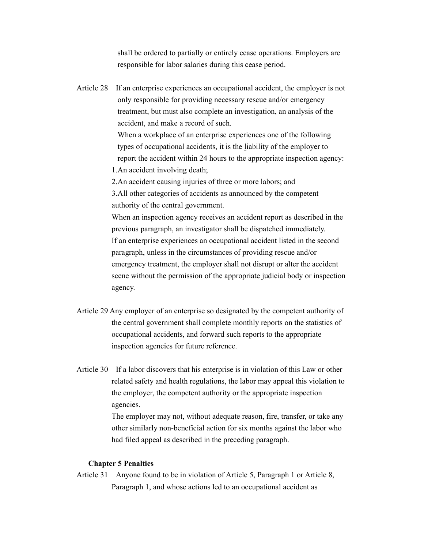shall be ordered to partially or entirely cease operations. Employers are responsible for labor salaries during this cease period.

Article 28 If an enterprise experiences an occupational accident, the employer is not only responsible for providing necessary rescue and/or emergency treatment, but must also complete an investigation, an analysis of the accident, and make a record of such. When a workplace of an enterprise experiences one of the following types of occupational accidents, it is the liability of the employer to

report the accident within 24 hours to the appropriate inspection agency:

1.An accident involving death;

2.An accident causing injuries of three or more labors; and

 3.All other categories of accidents as announced by the competent authority of the central government.

When an inspection agency receives an accident report as described in the previous paragraph, an investigator shall be dispatched immediately. If an enterprise experiences an occupational accident listed in the second paragraph, unless in the circumstances of providing rescue and/or emergency treatment, the employer shall not disrupt or alter the accident scene without the permission of the appropriate judicial body or inspection agency.

- Article 29 Any employer of an enterprise so designated by the competent authority of the central government shall complete monthly reports on the statistics of occupational accidents, and forward such reports to the appropriate inspection agencies for future reference.
- Article 30 If a labor discovers that his enterprise is in violation of this Law or other related safety and health regulations, the labor may appeal this violation to the employer, the competent authority or the appropriate inspection agencies.

The employer may not, without adequate reason, fire, transfer, or take any other similarly non-beneficial action for six months against the labor who had filed appeal as described in the preceding paragraph.

## **Chapter 5 Penalties**

Article 31 Anyone found to be in violation of Article 5, Paragraph 1 or Article 8, Paragraph 1, and whose actions led to an occupational accident as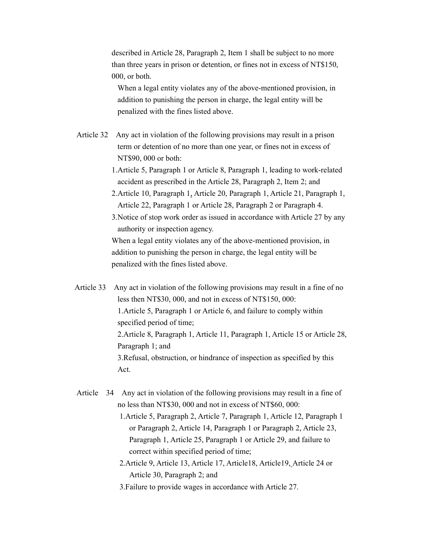described in Article 28, Paragraph 2, Item 1 shall be subject to no more than three years in prison or detention, or fines not in excess of NT\$150, 000, or both.

When a legal entity violates any of the above-mentioned provision, in addition to punishing the person in charge, the legal entity will be penalized with the fines listed above.

- Article 32 Any act in violation of the following provisions may result in a prison term or detention of no more than one year, or fines not in excess of NT\$90, 000 or both:
	- 1.Article 5, Paragraph 1 or Article 8, Paragraph 1, leading to work-related accident as prescribed in the Article 28, Paragraph 2, Item 2; and
	- 2.Article 10, Paragraph 1, Article 20, Paragraph 1, Article 21, Paragraph 1, Article 22, Paragraph 1 or Article 28, Paragraph 2 or Paragraph 4.
	- 3.Notice of stop work order as issued in accordance with Article 27 by any authority or inspection agency.

When a legal entity violates any of the above-mentioned provision, in addition to punishing the person in charge, the legal entity will be penalized with the fines listed above.

- Article 33 Any act in violation of the following provisions may result in a fine of no less then NT\$30, 000, and not in excess of NT\$150, 000: 1.Article 5, Paragraph 1 or Article 6, and failure to comply within specified period of time; 2.Article 8, Paragraph 1, Article 11, Paragraph 1, Article 15 or Article 28, Paragraph 1; and 3.Refusal, obstruction, or hindrance of inspection as specified by this Act.
- Article 34 Any act in violation of the following provisions may result in a fine of no less than NT\$30, 000 and not in excess of NT\$60, 000:
	- 1.Article 5, Paragraph 2, Article 7, Paragraph 1, Article 12, Paragraph 1 or Paragraph 2, Article 14, Paragraph 1 or Paragraph 2, Article 23, Paragraph 1, Article 25, Paragraph 1 or Article 29, and failure to correct within specified period of time;
	- 2.Article 9, Article 13, Article 17, Article18, Article19, Article 24 or Article 30, Paragraph 2; and
	- 3.Failure to provide wages in accordance with Article 27.